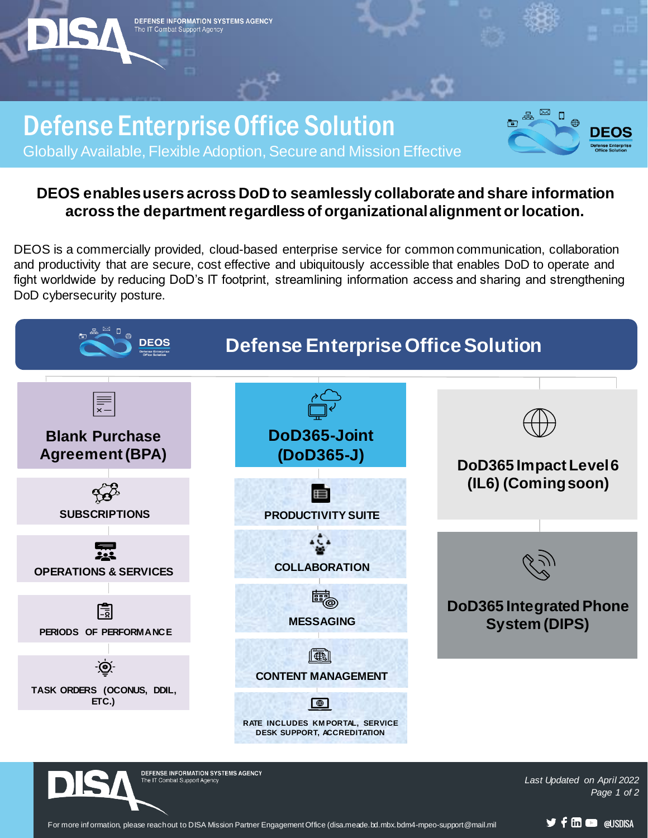Defense Enterprise Office Solution nfos Globally Available, Flexible Adoption, Secure and Mission Effective

DEFENSE INFORMATION SYSTEMS AGENCY

The IT Combat Support Agency

## **DEOS enables users across DoD to seamlessly collaborate and share information across the department regardless of organizational alignment or location.**

DEOS is a commercially provided, cloud-based enterprise service for common communication, collaboration and productivity that are secure, cost effective and ubiquitously accessible that enables DoD to operate and fight worldwide by reducing DoD's IT footprint, streamlining information access and sharing and strengthening DoD cybersecurity posture.



For more inf ormation, please reach out to DISA Mission Partner Engagement Office (disa.meade.bd.mbx.bdm4-mpeo-support@mail.mil **DECOUSDISA**